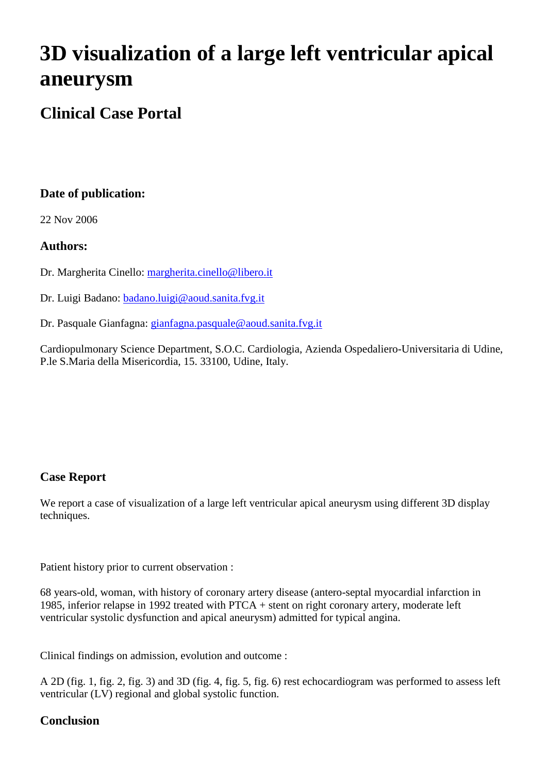# **3D visualization of a large left ventricular apical aneurysm**

# **Clinical Case Portal**

# **Date of publication:**

22 Nov 2006

#### **Authors:**

Dr. Margherita Cinello: [margherita.cinello@libero.it](mailto:margherita.cinello@libero.it)

Dr. Luigi Badano: [badano.luigi@aoud.sanita.fvg.it](mailto:badano.luigi@aoud.sanita.fvg.it)

Dr. Pasquale Gianfagna: [gianfagna.pasquale@aoud.sanita.fvg.it](mailto:gianfagna.pasquale@aoud.sanita.fvg.it)

Cardiopulmonary Science Department, S.O.C. Cardiologia, Azienda Ospedaliero-Universitaria di Udine, P.le S.Maria della Misericordia, 15. 33100, Udine, Italy.

# **Case Report**

We report a case of visualization of a large left ventricular apical aneurysm using different 3D display techniques.

Patient history prior to current observation :

68 years-old, woman, with history of coronary artery disease (antero-septal myocardial infarction in 1985, inferior relapse in 1992 treated with PTCA + stent on right coronary artery, moderate left ventricular systolic dysfunction and apical aneurysm) admitted for typical angina.

Clinical findings on admission, evolution and outcome :

A 2D (fig. 1, fig. 2, fig. 3) and 3D (fig. 4, fig. 5, fig. 6) rest echocardiogram was performed to assess left ventricular (LV) regional and global systolic function.

# **Conclusion**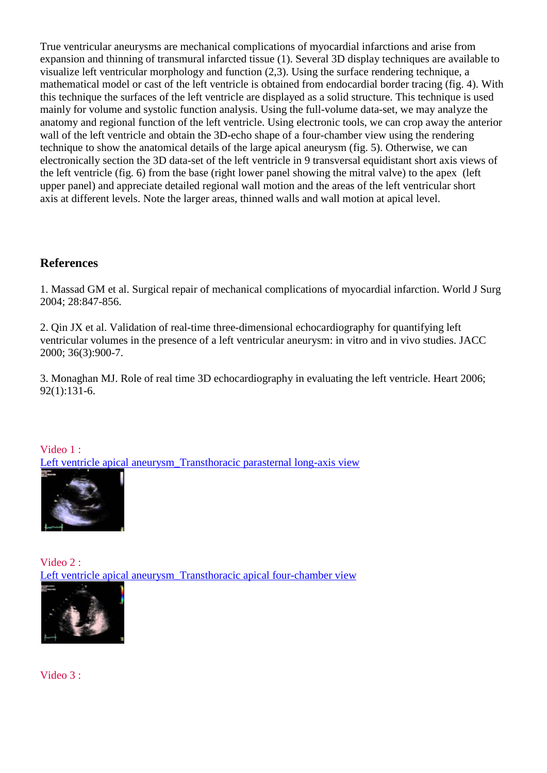True ventricular aneurysms are mechanical complications of myocardial infarctions and arise from expansion and thinning of transmural infarcted tissue (1). Several 3D display techniques are available to visualize left ventricular morphology and function (2,3). Using the surface rendering technique, a mathematical model or cast of the left ventricle is obtained from endocardial border tracing (fig. 4). With this technique the surfaces of the left ventricle are displayed as a solid structure. This technique is used mainly for volume and systolic function analysis. Using the full-volume data-set, we may analyze the anatomy and regional function of the left ventricle. Using electronic tools, we can crop away the anterior wall of the left ventricle and obtain the 3D-echo shape of a four-chamber view using the rendering technique to show the anatomical details of the large apical aneurysm (fig. 5). Otherwise, we can electronically section the 3D data-set of the left ventricle in 9 transversal equidistant short axis views of the left ventricle (fig. 6) from the base (right lower panel showing the mitral valve) to the apex (left upper panel) and appreciate detailed regional wall motion and the areas of the left ventricular short axis at different levels. Note the larger areas, thinned walls and wall motion at apical level.

#### **References**

1. Massad GM et al. Surgical repair of mechanical complications of myocardial infarction. World J Surg 2004; 28:847-856.

2. Qin JX et al. Validation of real-time three-dimensional echocardiography for quantifying left ventricular volumes in the presence of a left ventricular aneurysm: in vitro and in vivo studies. JACC 2000; 36(3):900-7.

3. Monaghan MJ. Role of real time 3D echocardiography in evaluating the left ventricle. Heart 2006; 92(1):131-6.

Video 1 : [Left ventricle apical aneurysm\\_Transthoracic parasternal long-axis view](http://www.youtube.com/watch?v=UKUErnnW45w) 



Video 2 : Left ventricle apical aneurysm\_Transthoracic apical four-chamber view



Video 3 :